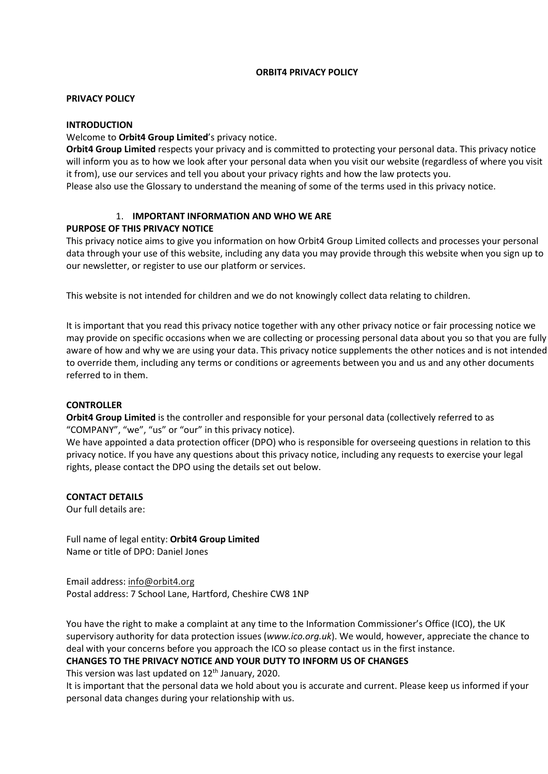#### **ORBIT4 PRIVACY POLICY**

#### **PRIVACY POLICY**

#### **INTRODUCTION**

Welcome to **Orbit4 Group Limited**'s privacy notice.

**Orbit4 Group Limited** respects your privacy and is committed to protecting your personal data. This privacy notice will inform you as to how we look after your personal data when you visit our website (regardless of where you visit it from), use our services and tell you about your privacy rights and how the law protects you. Please also use the Glossary to understand the meaning of some of the terms used in this privacy notice.

#### 1. **IMPORTANT INFORMATION AND WHO WE ARE**

#### **PURPOSE OF THIS PRIVACY NOTICE**

This privacy notice aims to give you information on how Orbit4 Group Limited collects and processes your personal data through your use of this website, including any data you may provide through this website when you sign up to our newsletter, or register to use our platform or services.

This website is not intended for children and we do not knowingly collect data relating to children.

It is important that you read this privacy notice together with any other privacy notice or fair processing notice we may provide on specific occasions when we are collecting or processing personal data about you so that you are fully aware of how and why we are using your data. This privacy notice supplements the other notices and is not intended to override them, including any terms or conditions or agreements between you and us and any other documents referred to in them.

#### **CONTROLLER**

**Orbit4 Group Limited** is the controller and responsible for your personal data (collectively referred to as "COMPANY", "we", "us" or "our" in this privacy notice).

We have appointed a data protection officer (DPO) who is responsible for overseeing questions in relation to this privacy notice. If you have any questions about this privacy notice, including any requests to exercise your legal rights, please contact the DPO using the details set out below.

#### **CONTACT DETAILS**

Our full details are:

Full name of legal entity: **Orbit4 Group Limited** Name or title of DPO: Daniel Jones

Email address: [info@orbit4.org](mailto:info@orbit4.org) Postal address: 7 School Lane, Hartford, Cheshire CW8 1NP

You have the right to make a complaint at any time to the Information Commissioner's Office (ICO), the UK supervisory authority for data protection issues (*[www.ico.org.uk](https://ico.org.uk/)*). We would, however, appreciate the chance to deal with your concerns before you approach the ICO so please contact us in the first instance.

**CHANGES TO THE PRIVACY NOTICE AND YOUR DUTY TO INFORM US OF CHANGES**

This version was last updated on 12<sup>th</sup> January, 2020.

It is important that the personal data we hold about you is accurate and current. Please keep us informed if your personal data changes during your relationship with us.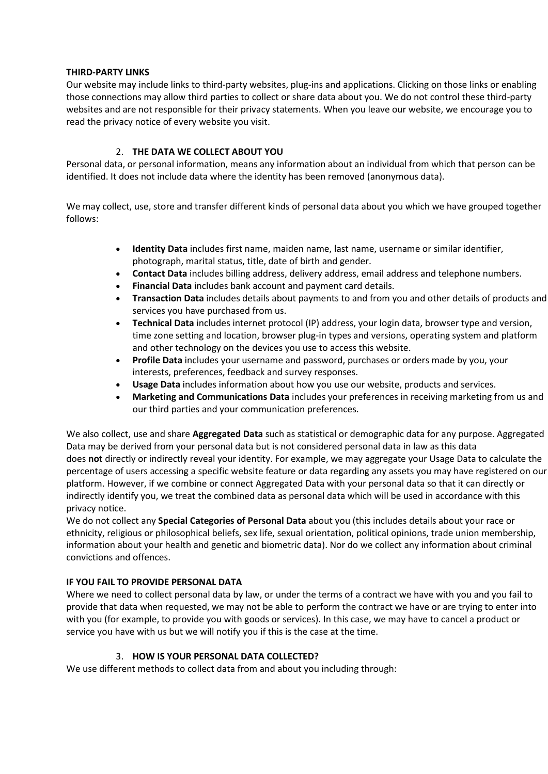### **THIRD-PARTY LINKS**

Our website may include links to third-party websites, plug-ins and applications. Clicking on those links or enabling those connections may allow third parties to collect or share data about you. We do not control these third-party websites and are not responsible for their privacy statements. When you leave our website, we encourage you to read the privacy notice of every website you visit.

## 2. **THE DATA WE COLLECT ABOUT YOU**

Personal data, or personal information, means any information about an individual from which that person can be identified. It does not include data where the identity has been removed (anonymous data).

We may collect, use, store and transfer different kinds of personal data about you which we have grouped together follows:

- **Identity Data** includes first name, maiden name, last name, username or similar identifier, photograph, marital status, title, date of birth and gender.
- **Contact Data** includes billing address, delivery address, email address and telephone numbers.
- **Financial Data** includes bank account and payment card details.
- **Transaction Data** includes details about payments to and from you and other details of products and services you have purchased from us.
- **Technical Data** includes internet protocol (IP) address, your login data, browser type and version, time zone setting and location, browser plug-in types and versions, operating system and platform and other technology on the devices you use to access this website.
- **Profile Data** includes your username and password, purchases or orders made by you, your interests, preferences, feedback and survey responses.
- **Usage Data** includes information about how you use our website, products and services.
- **Marketing and Communications Data** includes your preferences in receiving marketing from us and our third parties and your communication preferences.

We also collect, use and share **Aggregated Data** such as statistical or demographic data for any purpose. Aggregated Data may be derived from your personal data but is not considered personal data in law as this data does **not** directly or indirectly reveal your identity. For example, we may aggregate your Usage Data to calculate the percentage of users accessing a specific website feature or data regarding any assets you may have registered on our platform. However, if we combine or connect Aggregated Data with your personal data so that it can directly or indirectly identify you, we treat the combined data as personal data which will be used in accordance with this privacy notice.

We do not collect any **Special Categories of Personal Data** about you (this includes details about your race or ethnicity, religious or philosophical beliefs, sex life, sexual orientation, political opinions, trade union membership, information about your health and genetic and biometric data). Nor do we collect any information about criminal convictions and offences.

### **IF YOU FAIL TO PROVIDE PERSONAL DATA**

Where we need to collect personal data by law, or under the terms of a contract we have with you and you fail to provide that data when requested, we may not be able to perform the contract we have or are trying to enter into with you (for example, to provide you with goods or services). In this case, we may have to cancel a product or service you have with us but we will notify you if this is the case at the time.

### 3. **HOW IS YOUR PERSONAL DATA COLLECTED?**

We use different methods to collect data from and about you including through: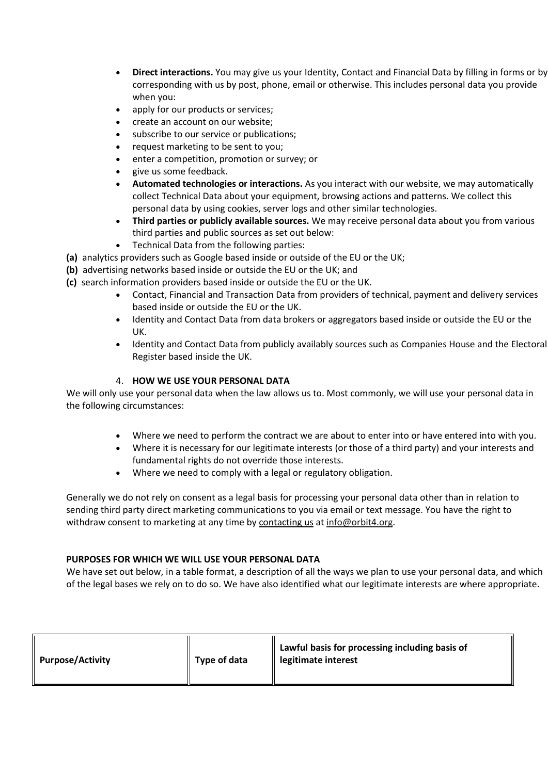- **Direct interactions.** You may give us your Identity, Contact and Financial Data by filling in forms or by corresponding with us by post, phone, email or otherwise. This includes personal data you provide when you:
- apply for our products or services;
- create an account on our website;
- subscribe to our service or publications;
- request marketing to be sent to you;
- enter a competition, promotion or survey; or
- give us some feedback.
- **Automated technologies or interactions.** As you interact with our website, we may automatically collect Technical Data about your equipment, browsing actions and patterns. We collect this personal data by using cookies, server logs and other similar technologies.
- **Third parties or publicly available sources.** We may receive personal data about you from various third parties and public sources as set out below:
- Technical Data from the following parties:
- **(a)** analytics providers such as Google based inside or outside of the EU or the UK;
- **(b)** advertising networks based inside or outside the EU or the UK; and
- **(c)** search information providers based inside or outside the EU or the UK.
	- Contact, Financial and Transaction Data from providers of technical, payment and delivery services based inside or outside the EU or the UK.
	- Identity and Contact Data from data brokers or aggregators based inside or outside the EU or the UK.
	- Identity and Contact Data from publicly availably sources such as Companies House and the Electoral Register based inside the UK.

## 4. **HOW WE USE YOUR PERSONAL DATA**

We will only use your personal data when the law allows us to. Most commonly, we will use your personal data in the following circumstances:

- Where we need to perform the contract we are about to enter into or have entered into with you.
- Where it is necessary for our legitimate interests (or those of a third party) and your interests and fundamental rights do not override those interests.
- Where we need to comply with a legal or regulatory obligation.

Generally we do not rely on consent as a legal basis for processing your personal data other than in relation to sending third party direct marketing communications to you via email or text message. You have the right to withdraw consent to marketing at any time by [contacting](mailto:contacting%20us) us at [info@orbit4.org.](mailto:info@orbit4.org)

### **PURPOSES FOR WHICH WE WILL USE YOUR PERSONAL DATA**

We have set out below, in a table format, a description of all the ways we plan to use your personal data, and which of the legal bases we rely on to do so. We have also identified what our legitimate interests are where appropriate.

| Type of data            | Lawful basis for processing including basis of |
|-------------------------|------------------------------------------------|
| <b>Purpose/Activity</b> | legitimate interest                            |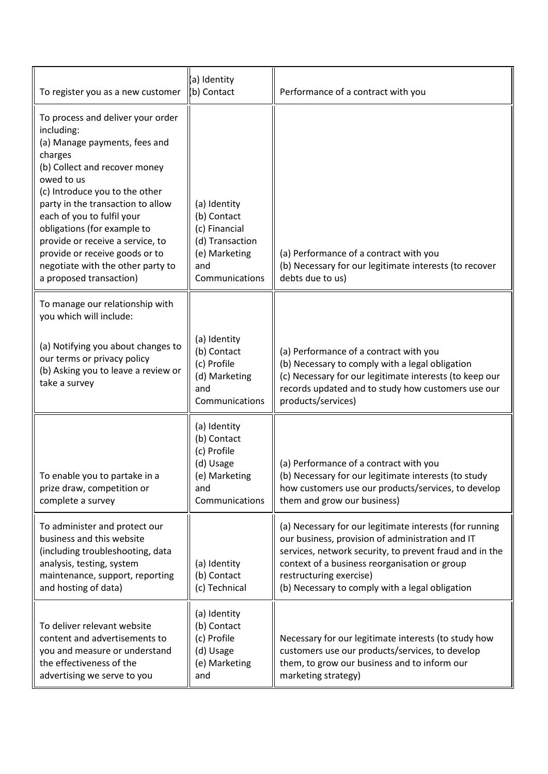| To register you as a new customer                                                                                                                                                                                                                                                                                                                                                                                    | (a) Identity<br>(b) Contact                                                                               | Performance of a contract with you                                                                                                                                                                                                                                                                    |
|----------------------------------------------------------------------------------------------------------------------------------------------------------------------------------------------------------------------------------------------------------------------------------------------------------------------------------------------------------------------------------------------------------------------|-----------------------------------------------------------------------------------------------------------|-------------------------------------------------------------------------------------------------------------------------------------------------------------------------------------------------------------------------------------------------------------------------------------------------------|
| To process and deliver your order<br>including:<br>(a) Manage payments, fees and<br>charges<br>(b) Collect and recover money<br>owed to us<br>(c) Introduce you to the other<br>party in the transaction to allow<br>each of you to fulfil your<br>obligations (for example to<br>provide or receive a service, to<br>provide or receive goods or to<br>negotiate with the other party to<br>a proposed transaction) | (a) Identity<br>(b) Contact<br>(c) Financial<br>(d) Transaction<br>(e) Marketing<br>and<br>Communications | (a) Performance of a contract with you<br>(b) Necessary for our legitimate interests (to recover<br>debts due to us)                                                                                                                                                                                  |
| To manage our relationship with<br>you which will include:                                                                                                                                                                                                                                                                                                                                                           |                                                                                                           |                                                                                                                                                                                                                                                                                                       |
| (a) Notifying you about changes to<br>our terms or privacy policy<br>(b) Asking you to leave a review or<br>take a survey                                                                                                                                                                                                                                                                                            | (a) Identity<br>(b) Contact<br>(c) Profile<br>(d) Marketing<br>and<br>Communications                      | (a) Performance of a contract with you<br>(b) Necessary to comply with a legal obligation<br>(c) Necessary for our legitimate interests (to keep our<br>records updated and to study how customers use our<br>products/services)                                                                      |
| To enable you to partake in a<br>prize draw, competition or<br>complete a survey                                                                                                                                                                                                                                                                                                                                     | (a) Identity<br>(b) Contact<br>(c) Profile<br>(d) Usage<br>(e) Marketing<br>and<br>Communications         | (a) Performance of a contract with you<br>(b) Necessary for our legitimate interests (to study<br>how customers use our products/services, to develop<br>them and grow our business)                                                                                                                  |
| To administer and protect our<br>business and this website<br>(including troubleshooting, data<br>analysis, testing, system<br>maintenance, support, reporting<br>and hosting of data)                                                                                                                                                                                                                               | (a) Identity<br>(b) Contact<br>(c) Technical                                                              | (a) Necessary for our legitimate interests (for running<br>our business, provision of administration and IT<br>services, network security, to prevent fraud and in the<br>context of a business reorganisation or group<br>restructuring exercise)<br>(b) Necessary to comply with a legal obligation |
| To deliver relevant website<br>content and advertisements to<br>you and measure or understand<br>the effectiveness of the<br>advertising we serve to you                                                                                                                                                                                                                                                             | (a) Identity<br>(b) Contact<br>(c) Profile<br>(d) Usage<br>(e) Marketing<br>and                           | Necessary for our legitimate interests (to study how<br>customers use our products/services, to develop<br>them, to grow our business and to inform our<br>marketing strategy)                                                                                                                        |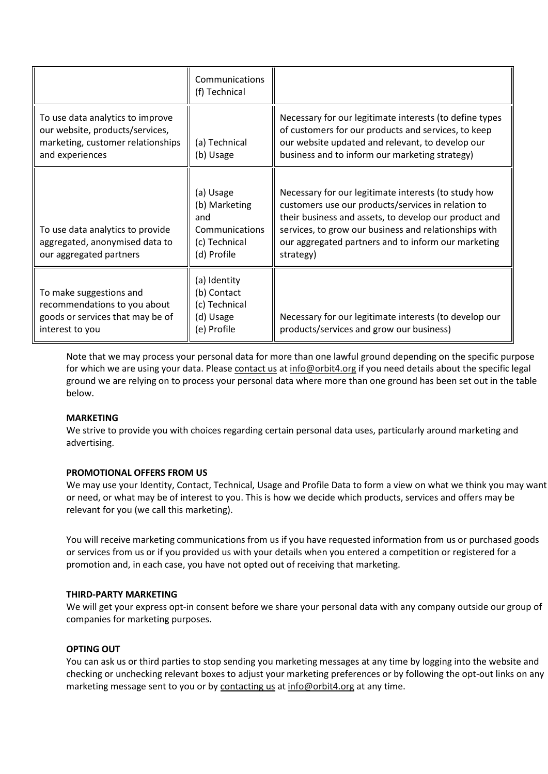|                                                                                                                             | Communications<br>(f) Technical                                                     |                                                                                                                                                                                                                                                                                                  |
|-----------------------------------------------------------------------------------------------------------------------------|-------------------------------------------------------------------------------------|--------------------------------------------------------------------------------------------------------------------------------------------------------------------------------------------------------------------------------------------------------------------------------------------------|
| To use data analytics to improve<br>our website, products/services,<br>marketing, customer relationships<br>and experiences | (a) Technical<br>(b) Usage                                                          | Necessary for our legitimate interests (to define types<br>of customers for our products and services, to keep<br>our website updated and relevant, to develop our<br>business and to inform our marketing strategy)                                                                             |
| To use data analytics to provide<br>aggregated, anonymised data to<br>our aggregated partners                               | (a) Usage<br>(b) Marketing<br>and<br>Communications<br>(c) Technical<br>(d) Profile | Necessary for our legitimate interests (to study how<br>customers use our products/services in relation to<br>their business and assets, to develop our product and<br>services, to grow our business and relationships with<br>our aggregated partners and to inform our marketing<br>strategy) |
| To make suggestions and<br>recommendations to you about<br>goods or services that may be of<br>interest to you              | (a) Identity<br>(b) Contact<br>(c) Technical<br>(d) Usage<br>(e) Profile            | Necessary for our legitimate interests (to develop our<br>products/services and grow our business)                                                                                                                                                                                               |

Note that we may process your personal data for more than one lawful ground depending on the specific purpose for which we are using your data. Please [contact](mailto:contact%20us) us at [info@orbit4.org](mailto:info@orbit4.org) if you need details about the specific legal ground we are relying on to process your personal data where more than one ground has been set out in the table below.

#### **MARKETING**

We strive to provide you with choices regarding certain personal data uses, particularly around marketing and advertising.

#### **PROMOTIONAL OFFERS FROM US**

We may use your Identity, Contact, Technical, Usage and Profile Data to form a view on what we think you may want or need, or what may be of interest to you. This is how we decide which products, services and offers may be relevant for you (we call this marketing).

You will receive marketing communications from us if you have requested information from us or purchased goods or services from us or if you provided us with your details when you entered a competition or registered for a promotion and, in each case, you have not opted out of receiving that marketing.

#### **THIRD-PARTY MARKETING**

We will get your express opt-in consent before we share your personal data with any company outside our group of companies for marketing purposes.

#### **OPTING OUT**

You can ask us or third parties to stop sending you marketing messages at any time by logging into the website and checking or unchecking relevant boxes to adjust your marketing preferences or by following the opt-out links on any marketing message sent to you or by [contacting](https://webuygymequipment.com/uk/privacy-policy/#co_anchor_a599551_1) us at [info@orbit4.org](mailto:info@orbit4.org) at any time.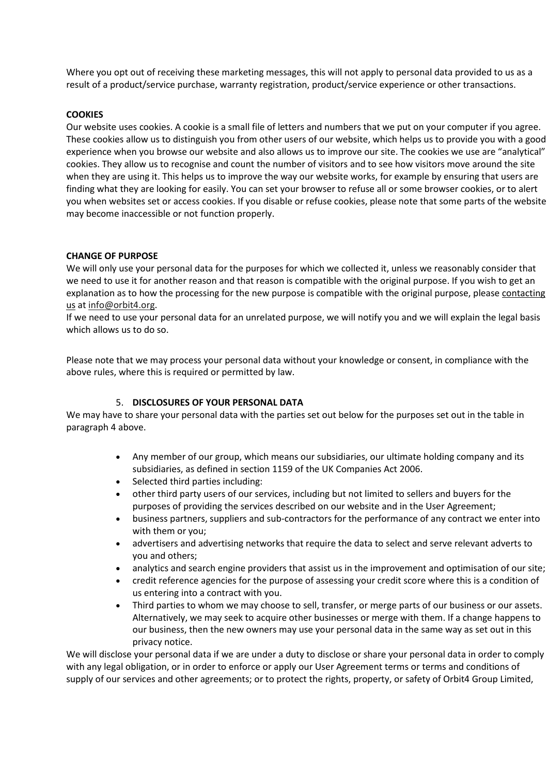Where you opt out of receiving these marketing messages, this will not apply to personal data provided to us as a result of a product/service purchase, warranty registration, product/service experience or other transactions.

### **COOKIES**

Our website uses cookies. A cookie is a small file of letters and numbers that we put on your computer if you agree. These cookies allow us to distinguish you from other users of our website, which helps us to provide you with a good experience when you browse our website and also allows us to improve our site. The cookies we use are "analytical" cookies. They allow us to recognise and count the number of visitors and to see how visitors move around the site when they are using it. This helps us to improve the way our website works, for example by ensuring that users are finding what they are looking for easily. You can set your browser to refuse all or some browser cookies, or to alert you when websites set or access cookies. If you disable or refuse cookies, please note that some parts of the website may become inaccessible or not function properly.

#### **CHANGE OF PURPOSE**

We will only use your personal data for the purposes for which we collected it, unless we reasonably consider that we need to use it for another reason and that reason is compatible with the original purpose. If you wish to get an explanation as to how the processing for the new purpose is compatible with the original purpose, please [contacting](https://webuygymequipment.com/uk/privacy-policy/#co_anchor_a599551_1) [us](https://webuygymequipment.com/uk/privacy-policy/#co_anchor_a599551_1) at [info@orbit4.org.](mailto:info@orbit4.org)

If we need to use your personal data for an unrelated purpose, we will notify you and we will explain the legal basis which allows us to do so.

Please note that we may process your personal data without your knowledge or consent, in compliance with the above rules, where this is required or permitted by law.

#### 5. **DISCLOSURES OF YOUR PERSONAL DATA**

We may have to share your personal data with the parties set out below for the purposes set out in the table in paragraph 4 above.

- Any member of our group, which means our subsidiaries, our ultimate holding company and its subsidiaries, as defined in section 1159 of the UK Companies Act 2006.
- Selected third parties including:
- other third party users of our services, including but not limited to sellers and buyers for the purposes of providing the services described on our website and in the User Agreement;
- business partners, suppliers and sub-contractors for the performance of any contract we enter into with them or you;
- advertisers and advertising networks that require the data to select and serve relevant adverts to you and others;
- analytics and search engine providers that assist us in the improvement and optimisation of our site;
- credit reference agencies for the purpose of assessing your credit score where this is a condition of us entering into a contract with you.
- Third parties to whom we may choose to sell, transfer, or merge parts of our business or our assets. Alternatively, we may seek to acquire other businesses or merge with them. If a change happens to our business, then the new owners may use your personal data in the same way as set out in this privacy notice.

We will disclose your personal data if we are under a duty to disclose or share your personal data in order to comply with any legal obligation, or in order to enforce or apply our User Agreement terms or terms and conditions of supply of our services and other agreements; or to protect the rights, property, or safety of Orbit4 Group Limited,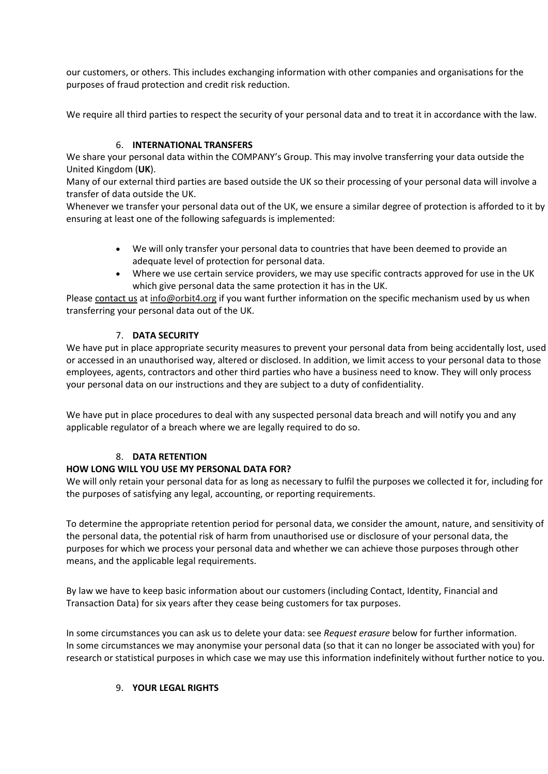our customers, or others. This includes exchanging information with other companies and organisations for the purposes of fraud protection and credit risk reduction.

We require all third parties to respect the security of your personal data and to treat it in accordance with the law.

## 6. **INTERNATIONAL TRANSFERS**

We share your personal data within the COMPANY's Group. This may involve transferring your data outside the United Kingdom (**UK**).

Many of our external third parties are based outside the UK so their processing of your personal data will involve a transfer of data outside the UK.

Whenever we transfer your personal data out of the UK, we ensure a similar degree of protection is afforded to it by ensuring at least one of the following safeguards is implemented:

- We will only transfer your personal data to countries that have been deemed to provide an adequate level of protection for personal data.
- Where we use certain service providers, we may use specific contracts approved for use in the UK which give personal data the same protection it has in the UK.

Please contact us at info@orbit4.org if you want further information on the specific mechanism used by us when transferring your personal data out of the UK.

# 7. **DATA SECURITY**

We have put in place appropriate security measures to prevent your personal data from being accidentally lost, used or accessed in an unauthorised way, altered or disclosed. In addition, we limit access to your personal data to those employees, agents, contractors and other third parties who have a business need to know. They will only process your personal data on our instructions and they are subject to a duty of confidentiality.

We have put in place procedures to deal with any suspected personal data breach and will notify you and any applicable regulator of a breach where we are legally required to do so.

### 8. **DATA RETENTION**

### **HOW LONG WILL YOU USE MY PERSONAL DATA FOR?**

We will only retain your personal data for as long as necessary to fulfil the purposes we collected it for, including for the purposes of satisfying any legal, accounting, or reporting requirements.

To determine the appropriate retention period for personal data, we consider the amount, nature, and sensitivity of the personal data, the potential risk of harm from unauthorised use or disclosure of your personal data, the purposes for which we process your personal data and whether we can achieve those purposes through other means, and the applicable legal requirements.

By law we have to keep basic information about our customers (including Contact, Identity, Financial and Transaction Data) for six years after they cease being customers for tax purposes.

In some circumstances you can ask us to delete your data: see *Request erasure* below for further information. In some circumstances we may anonymise your personal data (so that it can no longer be associated with you) for research or statistical purposes in which case we may use this information indefinitely without further notice to you.

# 9. **YOUR LEGAL RIGHTS**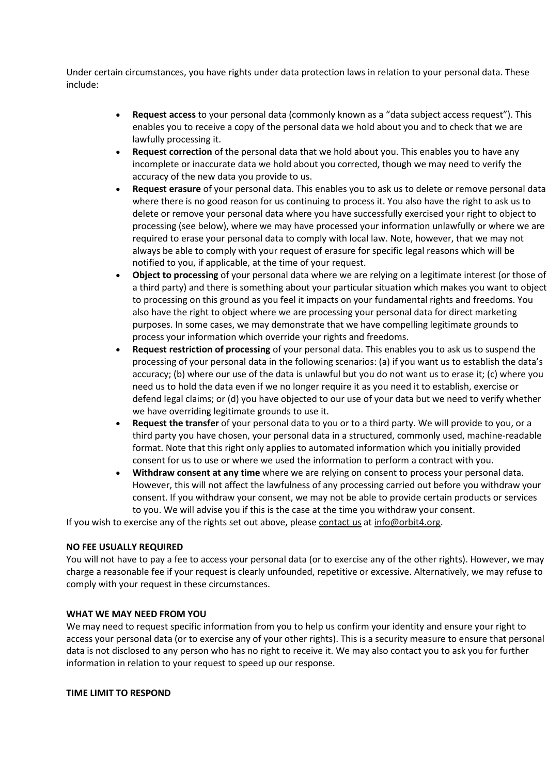Under certain circumstances, you have rights under data protection laws in relation to your personal data. These include:

- **Request access** to your personal data (commonly known as a "data subject access request"). This enables you to receive a copy of the personal data we hold about you and to check that we are lawfully processing it.
- **Request correction** of the personal data that we hold about you. This enables you to have any incomplete or inaccurate data we hold about you corrected, though we may need to verify the accuracy of the new data you provide to us.
- **Request erasure** of your personal data. This enables you to ask us to delete or remove personal data where there is no good reason for us continuing to process it. You also have the right to ask us to delete or remove your personal data where you have successfully exercised your right to object to processing (see below), where we may have processed your information unlawfully or where we are required to erase your personal data to comply with local law. Note, however, that we may not always be able to comply with your request of erasure for specific legal reasons which will be notified to you, if applicable, at the time of your request.
- **Object to processing** of your personal data where we are relying on a legitimate interest (or those of a third party) and there is something about your particular situation which makes you want to object to processing on this ground as you feel it impacts on your fundamental rights and freedoms. You also have the right to object where we are processing your personal data for direct marketing purposes. In some cases, we may demonstrate that we have compelling legitimate grounds to process your information which override your rights and freedoms.
- **Request restriction of processing** of your personal data. This enables you to ask us to suspend the processing of your personal data in the following scenarios: (a) if you want us to establish the data's accuracy; (b) where our use of the data is unlawful but you do not want us to erase it; (c) where you need us to hold the data even if we no longer require it as you need it to establish, exercise or defend legal claims; or (d) you have objected to our use of your data but we need to verify whether we have overriding legitimate grounds to use it.
- **Request the transfer** of your personal data to you or to a third party. We will provide to you, or a third party you have chosen, your personal data in a structured, commonly used, machine-readable format. Note that this right only applies to automated information which you initially provided consent for us to use or where we used the information to perform a contract with you.
- **Withdraw consent at any time** where we are relying on consent to process your personal data. However, this will not affect the lawfulness of any processing carried out before you withdraw your consent. If you withdraw your consent, we may not be able to provide certain products or services to you. We will advise you if this is the case at the time you withdraw your consent.

If you wish to exercise any of the rights set out above, please contact us at info@orbit4.org.

#### **NO FEE USUALLY REQUIRED**

You will not have to pay a fee to access your personal data (or to exercise any of the other rights). However, we may charge a reasonable fee if your request is clearly unfounded, repetitive or excessive. Alternatively, we may refuse to comply with your request in these circumstances.

#### **WHAT WE MAY NEED FROM YOU**

We may need to request specific information from you to help us confirm your identity and ensure your right to access your personal data (or to exercise any of your other rights). This is a security measure to ensure that personal data is not disclosed to any person who has no right to receive it. We may also contact you to ask you for further information in relation to your request to speed up our response.

#### **TIME LIMIT TO RESPOND**